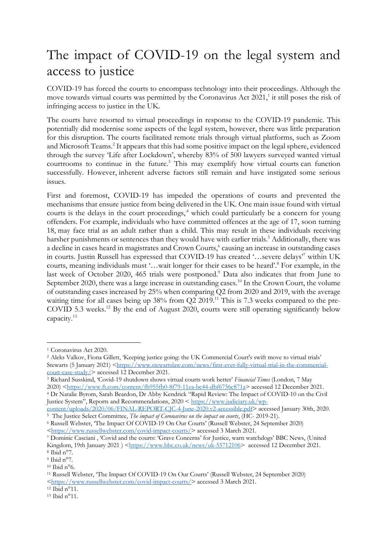## The impact of COVID-19 on the legal system and access to justice

COVID-19 has forced the courts to encompass technology into their proceedings. Although the move towards virtual courts was permitted by the Coronavirus Act 2021,<sup>1</sup> it still poses the risk of infringing access to justice in the UK.

The courts have resorted to virtual proceedings in response to the COVID-19 pandemic. This potentially did modernise some aspects of the legal system, however, there was little preparation for this disruption. The courts facilitated remote trials through virtual platforms, such as Zoom and Microsoft Teams.<sup>2</sup> It appears that this had some positive impact on the legal sphere, evidenced through the survey 'Life after Lockdown', whereby 83% of 500 lawyers surveyed wanted virtual courtrooms to continue in the future.<sup>3</sup> This may exemplify how virtual courts can function successfully. However, inherent adverse factors still remain and have instigated some serious issues.

First and foremost, COVID-19 has impeded the operations of courts and prevented the mechanisms that ensure justice from being delivered in the UK. One main issue found with virtual courts is the delays in the court proceedings,<sup>4</sup> which could particularly be a concern for young offenders. For example, individuals who have committed offences at the age of 17, soon turning 18, may face trial as an adult rather than a child. This may result in these individuals receiving harsher punishments or sentences than they would have with earlier trials.<sup>5</sup> Additionally, there was a decline in cases heard in magistrates and Crown Courts,<sup>6</sup> causing an increase in outstanding cases in courts. Justin Russell has expressed that COVID-19 has created '…severe delays'7 within UK courts, meaning individuals must '…wait longer for their cases to be heard'.8 For example, in the last week of October 2020, 465 trials were postponed.<sup>9</sup> Data also indicates that from June to September 2020, there was a large increase in outstanding cases.<sup>10</sup> In the Crown Court, the volume of outstanding cases increased by 25% when comparing Q2 from 2020 and 2019, with the average waiting time for all cases being up 38% from Q2 2019.<sup>11</sup> This is 7.3 weeks compared to the pre-COVID 5.3 weeks.<sup>12</sup> By the end of August 2020, courts were still operating significantly below capacity.13

<sup>3</sup> Richard Susskind, 'Covid-19 shutdown shows virtual courts work better' *Financial Times* (London, 7 May 2020) <https://www.ft.com/content/fb955fb0-8f79-11ea-bc44-dbf6756c871a> accessed 12 December 2021.

<sup>4</sup> Dr Natalie Byrom, Sarah Beardon, Dr Abby Kendrick "Rapid Review: The Impact of COVID-10 on the Civil Justice System", Reports and Recommendations, 2020 < https://www.judiciary.uk/wp-

content/uploads/2020/06/FINAL-REPORT-CJC-4-June-2020.v2-accessible.pdf> accessed January 30th, 2020. <sup>5</sup> The Justice Select Committee, *The impact of Coronavirus on the impact on courts*, (HC- 2019-21).

<sup>6</sup> Russell Webster, 'The Impact Of COVID-19 On Our Courts' (Russell Webster, 24 September 2020) <https://www.russellwebster.com/covid-impact-courts/> accessed 3 March 2021.

<sup>1</sup> Coronavirus Act 2020.

<sup>2</sup> Aleks Valkov, Fiona Gillett, 'Keeping justice going: the UK Commercial Court's swift move to virtual trials' Stewarts (5 January 2021) <https://www.stewartslaw.com/news/first-ever-fully-virtual-trial-in-the-commercialcourt-case-study/> accessed 12 December 2021.

<sup>7</sup> Dominic Casciani , 'Covid and the courts: 'Grave Concerns' for Justice, warn watchdogs' BBC News, (United Kingdom, 19th January 2021 ) <https://www.bbc.co.uk/news/uk-55712106> accessed 12 December 2021.  $8$  Ibid n°7.

 $9$  Ibid n°7.

 $10$  Ibid n°6.

<sup>11</sup> Russell Webster, 'The Impact Of COVID-19 On Our Courts' (Russell Webster, 24 September 2020) <https://www.russellwebster.com/covid-impact-courts/> accessed 3 March 2021.

 $12$  Ibid n°11.

<sup>13</sup> Ibid n°11.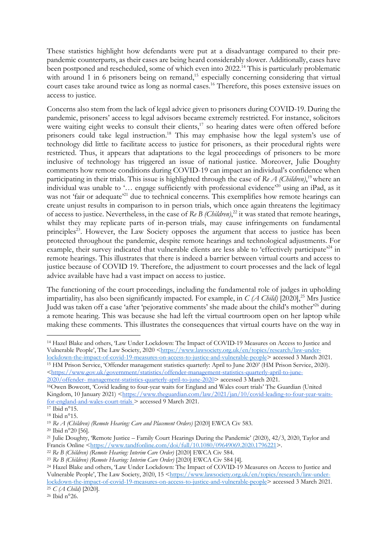These statistics highlight how defendants were put at a disadvantage compared to their prepandemic counterparts, as their cases are being heard considerably slower. Additionally, cases have been postponed and rescheduled, some of which even into 2022.<sup>14</sup> This is particularly problematic with around 1 in 6 prisoners being on remand,<sup>15</sup> especially concerning considering that virtual court cases take around twice as long as normal cases.16 Therefore, this poses extensive issues on access to justice.

Concerns also stem from the lack of legal advice given to prisoners during COVID-19. During the pandemic, prisoners' access to legal advisors became extremely restricted. For instance, solicitors were waiting eight weeks to consult their clients, $17$  so hearing dates were often offered before prisoners could take legal instruction.<sup>18</sup> This may emphasise how the legal system's use of technology did little to facilitate access to justice for prisoners, as their procedural rights were restricted. Thus, it appears that adaptations to the legal proceedings of prisoners to be more inclusive of technology has triggered an issue of national justice. Moreover, Julie Doughty comments how remote conditions during COVID-19 can impact an individual's confidence when participating in their trials. This issue is highlighted through the case of *Re A (Children)*,<sup>19</sup> where an individual was unable to '… engage sufficiently with professional evidence'20 using an iPad, as it was not 'fair or adequate'<sup>21</sup> due to technical concerns. This exemplifies how remote hearings can create unjust results in comparison to in person trials, which once again threatens the legitimacy of access to justice. Nevertheless, in the case of *Re B (Children)*, <sup>22</sup> it was stated that remote hearings, whilst they may replicate parts of in-person trials, may cause infringements on fundamental principles<sup>23</sup>. However, the Law Society opposes the argument that access to justice has been protected throughout the pandemic, despite remote hearings and technological adjustments. For example, their survey indicated that vulnerable clients are less able to 'effectively participate'<sup>24</sup> in remote hearings. This illustrates that there is indeed a barrier between virtual courts and access to justice because of COVID 19. Therefore, the adjustment to court processes and the lack of legal advice available have had a vast impact on access to justice.

The functioning of the court proceedings, including the fundamental role of judges in upholding impartiality, has also been significantly impacted. For example, in *C (A Child)* [2020], <sup>25</sup> Mrs Justice Judd was taken off a case 'after 'pejorative comments' she made about the child's mother'26 during a remote hearing. This was because she had left the virtual courtroom open on her laptop while making these comments. This illustrates the consequences that virtual courts have on the way in

 $26$  Ibid  $n^{\circ}$ 26.

<sup>14</sup> Hazel Blake and others, 'Law Under Lockdown: The Impact of COVID-19 Measures on Access to Justice and Vulnerable People', The Law Society, 2020 <https://www.lawsociety.org.uk/en/topics/research/law-underlockdown-the-impact-of-covid-19-measures-on-access-to-justice-and-vulnerable-people> accessed 3 March 2021.

<sup>15</sup> HM Prison Service, 'Offender management statistics quarterly: April to June 2020' (HM Prison Service, 2020). <https://www.gov.uk/government/statistics/offender-management-statistics-quarterly-april-to-june-2020/offender- management-statistics-quarterly-april-to-june-2020> accessed 3 March 2021.

<sup>16</sup>Owen Bowcott, 'Covid leading to four-year waits for England and Wales court trials' The Guardian (United Kingdom, 10 January 2021) <https://www.theguardian.com/law/2021/jan/10/covid-leading-to-four-year-waitsfor-england-and-wales-court-trials > accessed 9 March 2021.

<sup>17</sup> Ibid n°15.

<sup>18</sup> Ibid n°15.

<sup>19</sup> *Re A (Children) (Remote Hearing: Care and Placement Orders)* [2020] EWCA Civ 583.

<sup>20</sup> Ibid n°20 [56].

<sup>&</sup>lt;sup>21</sup> Julie Doughty, 'Remote Justice – Family Court Hearings During the Pandemic' (2020), 42/3, 2020, Taylor and Francis Online <https://www.tandfonline.com/doi/full/10.1080/09649069.2020.1796221>.

<sup>22</sup> *Re B (Children) (Remote Hearing: Interim Care Order)* [2020] EWCA Civ 584.

<sup>23</sup> *Re B (Children) (Remote Hearing: Interim Care Order)* [2020] EWCA Civ 584 [4].

<sup>24</sup> Hazel Blake and others, 'Law Under Lockdown: The Impact of COVID-19 Measures on Access to Justice and Vulnerable People', The Law Society, 2020, 15 <https://www.lawsociety.org.uk/en/topics/research/law-underlockdown-the-impact-of-covid-19-measures-on-access-to-justice-and-vulnerable-people> accessed 3 March 2021. <sup>25</sup> *C (A Child)* [2020].